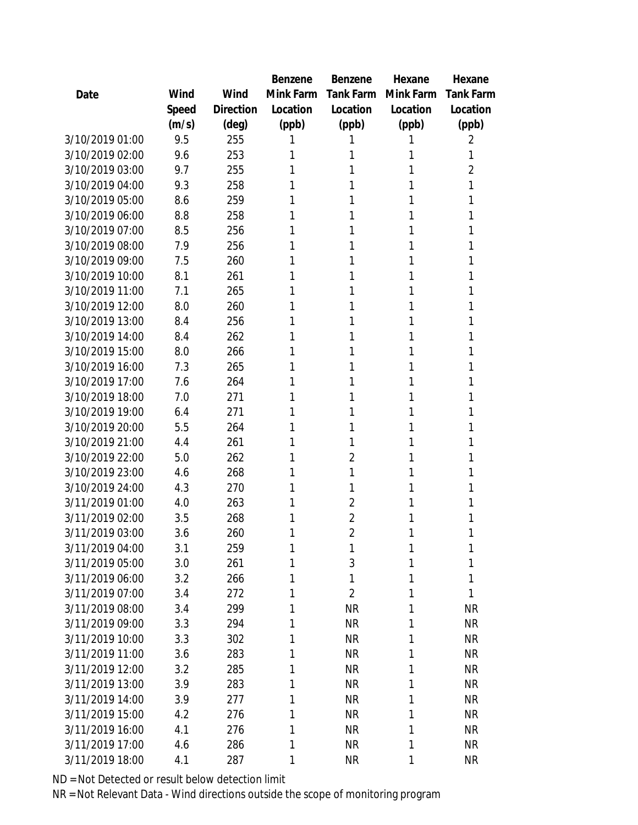|                 |       |           | Benzene   | Benzene        | Hexane    | Hexane         |
|-----------------|-------|-----------|-----------|----------------|-----------|----------------|
| Date            | Wind  | Wind      | Mink Farm | Tank Farm      | Mink Farm | Tank Farm      |
|                 | Speed | Direction | Location  | Location       | Location  | Location       |
|                 | (m/s) | (deg)     | (ppb)     | (ppb)          | (ppb)     | (ppb)          |
| 3/10/2019 01:00 | 9.5   | 255       | 1         |                | 1         | 2              |
| 3/10/2019 02:00 | 9.6   | 253       | 1         | 1              | 1         | 1              |
| 3/10/2019 03:00 | 9.7   | 255       | 1         | 1              | 1         | $\overline{2}$ |
| 3/10/2019 04:00 | 9.3   | 258       | 1         | 1              | 1         | 1              |
| 3/10/2019 05:00 | 8.6   | 259       | 1         | 1              | 1         | 1              |
| 3/10/2019 06:00 | 8.8   | 258       | 1         | 1              | 1         | 1              |
| 3/10/2019 07:00 | 8.5   | 256       | 1         | 1              | 1         | 1              |
| 3/10/2019 08:00 | 7.9   | 256       | 1         | 1              | 1         | 1              |
| 3/10/2019 09:00 | 7.5   | 260       | 1         | 1              | 1         | 1              |
| 3/10/2019 10:00 | 8.1   | 261       | 1         | 1              | 1         | 1              |
| 3/10/2019 11:00 | 7.1   | 265       | 1         | 1              | 1         | 1              |
| 3/10/2019 12:00 | 8.0   | 260       | 1         |                | 1         | 1              |
| 3/10/2019 13:00 | 8.4   | 256       | 1         | 1              | 1         | 1              |
| 3/10/2019 14:00 | 8.4   | 262       | 1         | 1              | 1         | 1              |
| 3/10/2019 15:00 | 8.0   | 266       | 1         | 1              | 1         | 1              |
| 3/10/2019 16:00 | 7.3   | 265       | 1         | 1              | 1         | 1              |
| 3/10/2019 17:00 | 7.6   | 264       | 1         | 1              | 1         | Τ              |
| 3/10/2019 18:00 | 7.0   | 271       | 1         | 1              | 1         | 1              |
| 3/10/2019 19:00 | 6.4   | 271       | 1         | 1              | 1         |                |
| 3/10/2019 20:00 | 5.5   | 264       | 1         | 1              | 1         | 1              |
| 3/10/2019 21:00 | 4.4   | 261       | 1         | 1              | 1         | 1              |
| 3/10/2019 22:00 | 5.0   | 262       | 1         | $\overline{2}$ | 1         | 1              |
| 3/10/2019 23:00 | 4.6   | 268       | 1         | 1              | 1         |                |
| 3/10/2019 24:00 | 4.3   | 270       | 1         | 1              | 1         | 1              |
| 3/11/2019 01:00 | 4.0   | 263       | 1         | $\overline{2}$ | 1         |                |
| 3/11/2019 02:00 | 3.5   | 268       | 1         | $\overline{2}$ | 1         |                |
| 3/11/2019 03:00 | 3.6   | 260       | 1         | $\overline{2}$ | 1         | 1              |
| 3/11/2019 04:00 | 3.1   | 259       | 1         | 1              | 1         | 1              |
| 3/11/2019 05:00 | 3.0   | 261       | 1         | $\mathfrak{Z}$ | 1         | 1              |
| 3/11/2019 06:00 | 3.2   | 266       | 1         | 1              | 1         | 1              |
| 3/11/2019 07:00 | 3.4   | 272       | 1         | $\overline{2}$ | 1         | 1              |
| 3/11/2019 08:00 | 3.4   | 299       | 1         | <b>NR</b>      | 1         | <b>NR</b>      |
| 3/11/2019 09:00 | 3.3   | 294       | 1         | <b>NR</b>      | 1         | <b>NR</b>      |
| 3/11/2019 10:00 | 3.3   | 302       | 1         | <b>NR</b>      | 1         | <b>NR</b>      |
| 3/11/2019 11:00 | 3.6   | 283       | 1         | <b>NR</b>      | 1         | <b>NR</b>      |
| 3/11/2019 12:00 | 3.2   | 285       | 1         | <b>NR</b>      | 1         | <b>NR</b>      |
| 3/11/2019 13:00 | 3.9   | 283       | 1         | <b>NR</b>      | 1         | <b>NR</b>      |
| 3/11/2019 14:00 | 3.9   | 277       | 1         | <b>NR</b>      | 1         | <b>NR</b>      |
| 3/11/2019 15:00 | 4.2   | 276       | 1         | <b>NR</b>      | 1         | <b>NR</b>      |
| 3/11/2019 16:00 | 4.1   | 276       | 1         | <b>NR</b>      | 1         | <b>NR</b>      |
| 3/11/2019 17:00 | 4.6   | 286       | 1         | <b>NR</b>      | 1         | <b>NR</b>      |
| 3/11/2019 18:00 | 4.1   | 287       | 1         | <b>NR</b>      | 1         | <b>NR</b>      |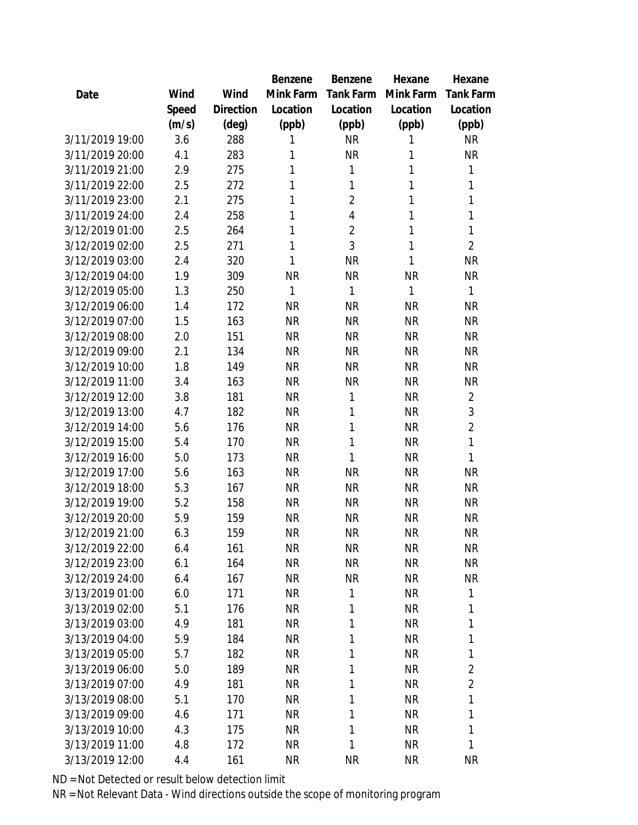|                 |       |                | Benzene   | Benzene        | Hexane       | Hexane           |
|-----------------|-------|----------------|-----------|----------------|--------------|------------------|
| Date            | Wind  | Wind           | Mink Farm | Tank Farm      | Mink Farm    | <b>Tank Farm</b> |
|                 | Speed | Direction      | Location  | Location       | Location     | Location         |
|                 | (m/s) | $(\text{deg})$ | (ppb)     | (ppb)          | (ppb)        | (ppb)            |
| 3/11/2019 19:00 | 3.6   | 288            | 1         | <b>NR</b>      | 1            | <b>NR</b>        |
| 3/11/2019 20:00 | 4.1   | 283            | 1         | <b>NR</b>      | 1            | <b>NR</b>        |
| 3/11/2019 21:00 | 2.9   | 275            | 1         | 1              | 1            | 1                |
| 3/11/2019 22:00 | 2.5   | 272            | 1         | 1              | $\mathbf{1}$ | 1                |
| 3/11/2019 23:00 | 2.1   | 275            | 1         | $\overline{2}$ | 1            | $\mathbf 1$      |
| 3/11/2019 24:00 | 2.4   | 258            | 1         | 4              | 1            | 1                |
| 3/12/2019 01:00 | 2.5   | 264            | 1         | $\overline{2}$ | 1            | 1                |
| 3/12/2019 02:00 | 2.5   | 271            | 1         | 3              | $\mathbf{1}$ | $\overline{2}$   |
| 3/12/2019 03:00 | 2.4   | 320            | 1         | <b>NR</b>      | $\mathbf{1}$ | <b>NR</b>        |
| 3/12/2019 04:00 | 1.9   | 309            | <b>NR</b> | <b>NR</b>      | <b>NR</b>    | <b>NR</b>        |
| 3/12/2019 05:00 | 1.3   | 250            | 1         | 1              | 1            | 1                |
| 3/12/2019 06:00 | 1.4   | 172            | <b>NR</b> | <b>NR</b>      | <b>NR</b>    | <b>NR</b>        |
| 3/12/2019 07:00 | 1.5   | 163            | <b>NR</b> | <b>NR</b>      | <b>NR</b>    | <b>NR</b>        |
| 3/12/2019 08:00 | 2.0   | 151            | <b>NR</b> | <b>NR</b>      | <b>NR</b>    | <b>NR</b>        |
| 3/12/2019 09:00 | 2.1   | 134            | <b>NR</b> | <b>NR</b>      | <b>NR</b>    | <b>NR</b>        |
| 3/12/2019 10:00 | 1.8   | 149            | <b>NR</b> | <b>NR</b>      | <b>NR</b>    | <b>NR</b>        |
| 3/12/2019 11:00 | 3.4   | 163            | <b>NR</b> | <b>NR</b>      | <b>NR</b>    | <b>NR</b>        |
| 3/12/2019 12:00 | 3.8   | 181            | <b>NR</b> | 1              | <b>NR</b>    | $\overline{2}$   |
| 3/12/2019 13:00 | 4.7   | 182            | <b>NR</b> | 1              | <b>NR</b>    | 3                |
| 3/12/2019 14:00 | 5.6   | 176            | <b>NR</b> | 1              | <b>NR</b>    | $\overline{2}$   |
| 3/12/2019 15:00 | 5.4   | 170            | <b>NR</b> | 1              | <b>NR</b>    | 1                |
| 3/12/2019 16:00 | 5.0   | 173            | <b>NR</b> | 1              | <b>NR</b>    | 1                |
| 3/12/2019 17:00 | 5.6   | 163            | <b>NR</b> | <b>NR</b>      | <b>NR</b>    | <b>NR</b>        |
| 3/12/2019 18:00 | 5.3   | 167            | <b>NR</b> | <b>NR</b>      | <b>NR</b>    | <b>NR</b>        |
| 3/12/2019 19:00 | 5.2   | 158            | <b>NR</b> | <b>NR</b>      | <b>NR</b>    | <b>NR</b>        |
| 3/12/2019 20:00 | 5.9   | 159            | <b>NR</b> | <b>NR</b>      | <b>NR</b>    | <b>NR</b>        |
| 3/12/2019 21:00 | 6.3   | 159            | <b>NR</b> | <b>NR</b>      | <b>NR</b>    | <b>NR</b>        |
| 3/12/2019 22:00 | 6.4   | 161            | <b>NR</b> | <b>NR</b>      | <b>NR</b>    | <b>NR</b>        |
| 3/12/2019 23:00 | 6.1   | 164            | <b>NR</b> | <b>NR</b>      | <b>NR</b>    | <b>NR</b>        |
| 3/12/2019 24:00 | 6.4   | 167            | <b>NR</b> | <b>NR</b>      | <b>NR</b>    | <b>NR</b>        |
| 3/13/2019 01:00 | 6.0   | 171            | <b>NR</b> | 1              | <b>NR</b>    | 1                |
| 3/13/2019 02:00 | 5.1   | 176            | <b>NR</b> | 1              | <b>NR</b>    | 1                |
| 3/13/2019 03:00 | 4.9   | 181            | <b>NR</b> | 1              | <b>NR</b>    | 1                |
| 3/13/2019 04:00 | 5.9   | 184            | <b>NR</b> | 1              | <b>NR</b>    | 1                |
| 3/13/2019 05:00 | 5.7   | 182            | <b>NR</b> | 1              | <b>NR</b>    | 1                |
| 3/13/2019 06:00 | 5.0   | 189            | <b>NR</b> | 1              | <b>NR</b>    | $\overline{2}$   |
| 3/13/2019 07:00 | 4.9   | 181            | <b>NR</b> | 1              | <b>NR</b>    | $\overline{a}$   |
| 3/13/2019 08:00 | 5.1   | 170            | <b>NR</b> | 1              | <b>NR</b>    | 1                |
| 3/13/2019 09:00 | 4.6   | 171            | <b>NR</b> | 1              | <b>NR</b>    | 1                |
| 3/13/2019 10:00 | 4.3   | 175            | <b>NR</b> | 1              | <b>NR</b>    | 1                |
| 3/13/2019 11:00 | 4.8   | 172            | <b>NR</b> | 1              | <b>NR</b>    | 1                |
| 3/13/2019 12:00 | 4.4   | 161            | <b>NR</b> | <b>NR</b>      | <b>NR</b>    | <b>NR</b>        |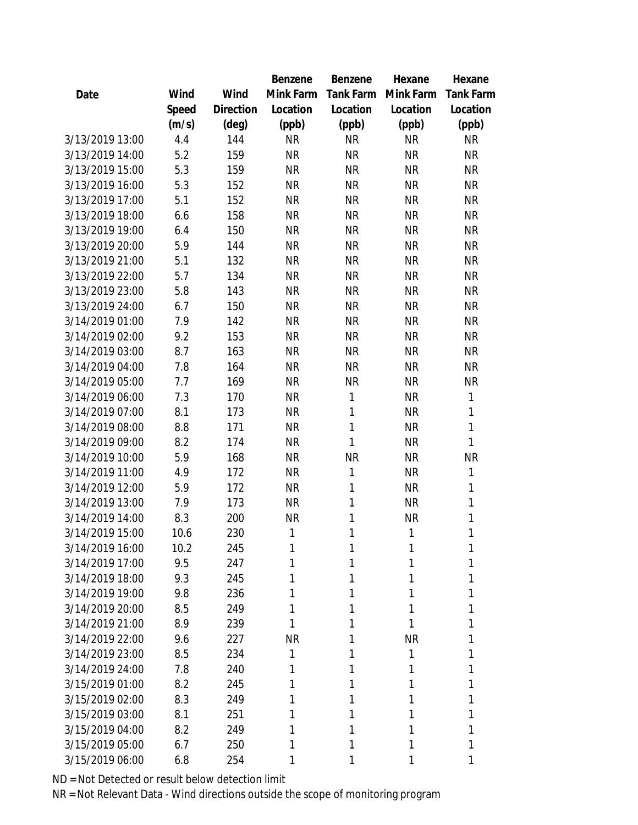|                 |       |                | Benzene   | Benzene   | Hexane    | Hexane           |
|-----------------|-------|----------------|-----------|-----------|-----------|------------------|
| Date            | Wind  | Wind           | Mink Farm | Tank Farm | Mink Farm | <b>Tank Farm</b> |
|                 | Speed | Direction      | Location  | Location  | Location  | Location         |
|                 | (m/s) | $(\text{deg})$ | (ppb)     | (ppb)     | (ppb)     | (ppb)            |
| 3/13/2019 13:00 | 4.4   | 144            | <b>NR</b> | <b>NR</b> | <b>NR</b> | <b>NR</b>        |
| 3/13/2019 14:00 | 5.2   | 159            | <b>NR</b> | <b>NR</b> | <b>NR</b> | <b>NR</b>        |
| 3/13/2019 15:00 | 5.3   | 159            | <b>NR</b> | <b>NR</b> | <b>NR</b> | <b>NR</b>        |
| 3/13/2019 16:00 | 5.3   | 152            | <b>NR</b> | <b>NR</b> | <b>NR</b> | <b>NR</b>        |
| 3/13/2019 17:00 | 5.1   | 152            | <b>NR</b> | <b>NR</b> | <b>NR</b> | <b>NR</b>        |
| 3/13/2019 18:00 | 6.6   | 158            | <b>NR</b> | <b>NR</b> | <b>NR</b> | <b>NR</b>        |
| 3/13/2019 19:00 | 6.4   | 150            | <b>NR</b> | <b>NR</b> | <b>NR</b> | <b>NR</b>        |
| 3/13/2019 20:00 | 5.9   | 144            | <b>NR</b> | <b>NR</b> | <b>NR</b> | <b>NR</b>        |
| 3/13/2019 21:00 | 5.1   | 132            | <b>NR</b> | <b>NR</b> | <b>NR</b> | <b>NR</b>        |
| 3/13/2019 22:00 | 5.7   | 134            | <b>NR</b> | <b>NR</b> | <b>NR</b> | <b>NR</b>        |
| 3/13/2019 23:00 | 5.8   | 143            | <b>NR</b> | <b>NR</b> | <b>NR</b> | <b>NR</b>        |
| 3/13/2019 24:00 | 6.7   | 150            | <b>NR</b> | <b>NR</b> | <b>NR</b> | <b>NR</b>        |
| 3/14/2019 01:00 | 7.9   | 142            | <b>NR</b> | <b>NR</b> | <b>NR</b> | <b>NR</b>        |
| 3/14/2019 02:00 | 9.2   | 153            | <b>NR</b> | <b>NR</b> | <b>NR</b> | <b>NR</b>        |
| 3/14/2019 03:00 | 8.7   | 163            | <b>NR</b> | <b>NR</b> | <b>NR</b> | <b>NR</b>        |
| 3/14/2019 04:00 | 7.8   | 164            | <b>NR</b> | <b>NR</b> | <b>NR</b> | <b>NR</b>        |
| 3/14/2019 05:00 | 7.7   | 169            | <b>NR</b> | <b>NR</b> | <b>NR</b> | <b>NR</b>        |
| 3/14/2019 06:00 | 7.3   | 170            | <b>NR</b> | 1         | <b>NR</b> | 1                |
| 3/14/2019 07:00 | 8.1   | 173            | <b>NR</b> | 1         | <b>NR</b> | 1                |
| 3/14/2019 08:00 | 8.8   | 171            | <b>NR</b> | 1         | <b>NR</b> | 1                |
| 3/14/2019 09:00 | 8.2   | 174            | <b>NR</b> | 1         | <b>NR</b> | 1                |
| 3/14/2019 10:00 | 5.9   | 168            | <b>NR</b> | <b>NR</b> | <b>NR</b> | <b>NR</b>        |
| 3/14/2019 11:00 | 4.9   | 172            | <b>NR</b> | 1         | <b>NR</b> | 1                |
| 3/14/2019 12:00 | 5.9   | 172            | <b>NR</b> | 1         | <b>NR</b> | $\mathbf 1$      |
| 3/14/2019 13:00 | 7.9   | 173            | <b>NR</b> | 1         | <b>NR</b> | 1                |
| 3/14/2019 14:00 | 8.3   | 200            | <b>NR</b> | 1         | <b>NR</b> | 1                |
| 3/14/2019 15:00 | 10.6  | 230            | 1         | 1         | 1         | 1                |
| 3/14/2019 16:00 | 10.2  | 245            | 1         | 1         | 1         | 1                |
| 3/14/2019 17:00 | 9.5   | 247            | 1         |           | 1         | 1                |
| 3/14/2019 18:00 | 9.3   | 245            | 1         | 1         | 1         | 1                |
| 3/14/2019 19:00 | 9.8   | 236            | 1         | 1         | 1         | 1                |
| 3/14/2019 20:00 | 8.5   | 249            | 1         | 1         | 1         | 1                |
| 3/14/2019 21:00 | 8.9   | 239            | 1         | 1         | 1         | 1                |
| 3/14/2019 22:00 | 9.6   | 227            | <b>NR</b> | 1         | <b>NR</b> | 1                |
| 3/14/2019 23:00 | 8.5   | 234            | 1         | 1         | 1         | 1                |
| 3/14/2019 24:00 | 7.8   | 240            | 1         |           | 1         | 1                |
| 3/15/2019 01:00 | 8.2   | 245            | 1         | 1         | 1         | 1                |
| 3/15/2019 02:00 | 8.3   | 249            | 1         | 1         | 1         | 1                |
| 3/15/2019 03:00 | 8.1   | 251            | 1         | 1         | 1         | 1                |
| 3/15/2019 04:00 | 8.2   | 249            | 1         | 1         | 1         | 1                |
| 3/15/2019 05:00 | 6.7   | 250            | 1         | 1         | 1         | 1                |
| 3/15/2019 06:00 | 6.8   | 254            | 1         | 1         | 1         | 1                |